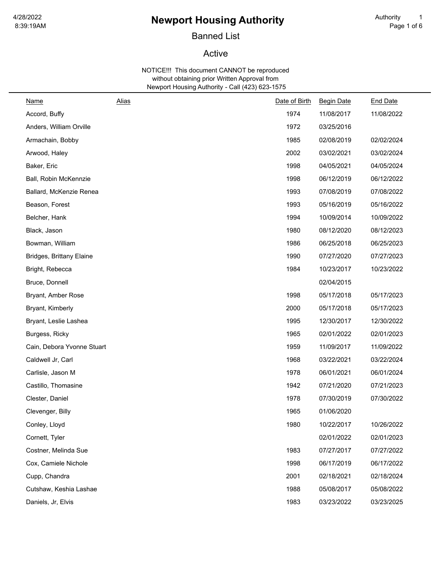# 8:39:19AM Page 1 of 6 **Newport Housing Authority** <sup>1</sup>

# Banned List

## Active

| <u>Name</u>                     | <b>Alias</b> | Date of Birth | <b>Begin Date</b> | <b>End Date</b> |
|---------------------------------|--------------|---------------|-------------------|-----------------|
| Accord, Buffy                   |              | 1974          | 11/08/2017        | 11/08/2022      |
| Anders, William Orville         |              | 1972          | 03/25/2016        |                 |
| Armachain, Bobby                |              | 1985          | 02/08/2019        | 02/02/2024      |
| Arwood, Haley                   |              | 2002          | 03/02/2021        | 03/02/2024      |
| Baker, Eric                     |              | 1998          | 04/05/2021        | 04/05/2024      |
| Ball, Robin McKennzie           |              | 1998          | 06/12/2019        | 06/12/2022      |
| Ballard, McKenzie Renea         |              | 1993          | 07/08/2019        | 07/08/2022      |
| Beason, Forest                  |              | 1993          | 05/16/2019        | 05/16/2022      |
| Belcher, Hank                   |              | 1994          | 10/09/2014        | 10/09/2022      |
| Black, Jason                    |              | 1980          | 08/12/2020        | 08/12/2023      |
| Bowman, William                 |              | 1986          | 06/25/2018        | 06/25/2023      |
| <b>Bridges, Brittany Elaine</b> |              | 1990          | 07/27/2020        | 07/27/2023      |
| Bright, Rebecca                 |              | 1984          | 10/23/2017        | 10/23/2022      |
| Bruce, Donnell                  |              |               | 02/04/2015        |                 |
| Bryant, Amber Rose              |              | 1998          | 05/17/2018        | 05/17/2023      |
| Bryant, Kimberly                |              | 2000          | 05/17/2018        | 05/17/2023      |
| Bryant, Leslie Lashea           |              | 1995          | 12/30/2017        | 12/30/2022      |
| Burgess, Ricky                  |              | 1965          | 02/01/2022        | 02/01/2023      |
| Cain, Debora Yvonne Stuart      |              | 1959          | 11/09/2017        | 11/09/2022      |
| Caldwell Jr, Carl               |              | 1968          | 03/22/2021        | 03/22/2024      |
| Carlisle, Jason M               |              | 1978          | 06/01/2021        | 06/01/2024      |
| Castillo, Thomasine             |              | 1942          | 07/21/2020        | 07/21/2023      |
| Clester, Daniel                 |              | 1978          | 07/30/2019        | 07/30/2022      |
| Clevenger, Billy                |              | 1965          | 01/06/2020        |                 |
| Conley, Lloyd                   |              | 1980          | 10/22/2017        | 10/26/2022      |
| Cornett, Tyler                  |              |               | 02/01/2022        | 02/01/2023      |
| Costner, Melinda Sue            |              | 1983          | 07/27/2017        | 07/27/2022      |
| Cox, Camiele Nichole            |              | 1998          | 06/17/2019        | 06/17/2022      |
| Cupp, Chandra                   |              | 2001          | 02/18/2021        | 02/18/2024      |
| Cutshaw, Keshia Lashae          |              | 1988          | 05/08/2017        | 05/08/2022      |
| Daniels, Jr, Elvis              |              | 1983          | 03/23/2022        | 03/23/2025      |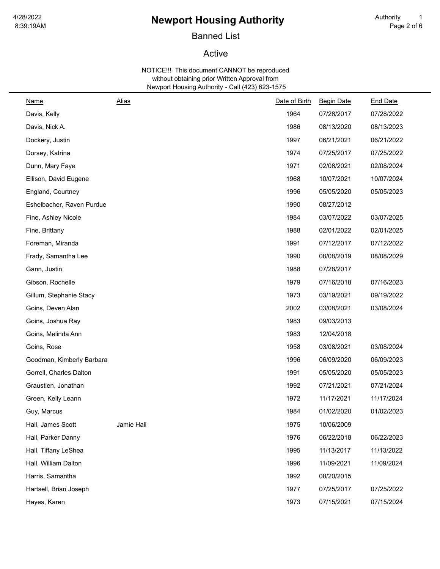# <sup>4/28/2022</sup> **Newport Housing Authority** Authority Authority 1<br>8:39:19AM Page 2 of 6

# Banned List

### Active

| Name                      | <b>Alias</b> | Date of Birth | <b>Begin Date</b> | <b>End Date</b> |
|---------------------------|--------------|---------------|-------------------|-----------------|
| Davis, Kelly              |              | 1964          | 07/28/2017        | 07/28/2022      |
| Davis, Nick A.            |              | 1986          | 08/13/2020        | 08/13/2023      |
| Dockery, Justin           |              | 1997          | 06/21/2021        | 06/21/2022      |
| Dorsey, Katrina           |              | 1974          | 07/25/2017        | 07/25/2022      |
| Dunn, Mary Faye           |              | 1971          | 02/08/2021        | 02/08/2024      |
| Ellison, David Eugene     |              | 1968          | 10/07/2021        | 10/07/2024      |
| England, Courtney         |              | 1996          | 05/05/2020        | 05/05/2023      |
| Eshelbacher, Raven Purdue |              | 1990          | 08/27/2012        |                 |
| Fine, Ashley Nicole       |              | 1984          | 03/07/2022        | 03/07/2025      |
| Fine, Brittany            |              | 1988          | 02/01/2022        | 02/01/2025      |
| Foreman, Miranda          |              | 1991          | 07/12/2017        | 07/12/2022      |
| Frady, Samantha Lee       |              | 1990          | 08/08/2019        | 08/08/2029      |
| Gann, Justin              |              | 1988          | 07/28/2017        |                 |
| Gibson, Rochelle          |              | 1979          | 07/16/2018        | 07/16/2023      |
| Gillum, Stephanie Stacy   |              | 1973          | 03/19/2021        | 09/19/2022      |
| Goins, Deven Alan         |              | 2002          | 03/08/2021        | 03/08/2024      |
| Goins, Joshua Ray         |              | 1983          | 09/03/2013        |                 |
| Goins, Melinda Ann        |              | 1983          | 12/04/2018        |                 |
| Goins, Rose               |              | 1958          | 03/08/2021        | 03/08/2024      |
| Goodman, Kimberly Barbara |              | 1996          | 06/09/2020        | 06/09/2023      |
| Gorrell, Charles Dalton   |              | 1991          | 05/05/2020        | 05/05/2023      |
| Graustien, Jonathan       |              | 1992          | 07/21/2021        | 07/21/2024      |
| Green, Kelly Leann        |              | 1972          | 11/17/2021        | 11/17/2024      |
| Guy, Marcus               |              | 1984          | 01/02/2020        | 01/02/2023      |
| Hall, James Scott         | Jamie Hall   | 1975          | 10/06/2009        |                 |
| Hall, Parker Danny        |              | 1976          | 06/22/2018        | 06/22/2023      |
| Hall, Tiffany LeShea      |              | 1995          | 11/13/2017        | 11/13/2022      |
| Hall, William Dalton      |              | 1996          | 11/09/2021        | 11/09/2024      |
| Harris, Samantha          |              | 1992          | 08/20/2015        |                 |
| Hartsell, Brian Joseph    |              | 1977          | 07/25/2017        | 07/25/2022      |
| Hayes, Karen              |              | 1973          | 07/15/2021        | 07/15/2024      |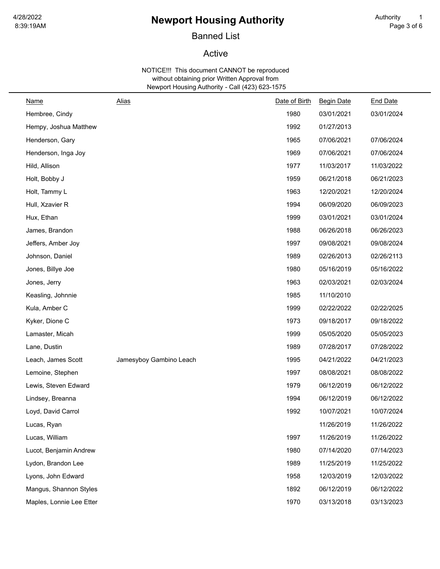# <sup>4/28/2022</sup> • **Newport Housing Authority** • Authority 1<br>8:39:19AM Page 3 of 6

# Banned List

## Active

| <u>Name</u>              | <b>Alias</b>            | Date of Birth | <b>Begin Date</b> | <b>End Date</b> |
|--------------------------|-------------------------|---------------|-------------------|-----------------|
| Hembree, Cindy           |                         | 1980          | 03/01/2021        | 03/01/2024      |
| Hempy, Joshua Matthew    |                         | 1992          | 01/27/2013        |                 |
| Henderson, Gary          |                         | 1965          | 07/06/2021        | 07/06/2024      |
| Henderson, Inga Joy      |                         | 1969          | 07/06/2021        | 07/06/2024      |
| Hild, Allison            |                         | 1977          | 11/03/2017        | 11/03/2022      |
| Holt, Bobby J            |                         | 1959          | 06/21/2018        | 06/21/2023      |
| Holt, Tammy L            |                         | 1963          | 12/20/2021        | 12/20/2024      |
| Hull, Xzavier R          |                         | 1994          | 06/09/2020        | 06/09/2023      |
| Hux, Ethan               |                         | 1999          | 03/01/2021        | 03/01/2024      |
| James, Brandon           |                         | 1988          | 06/26/2018        | 06/26/2023      |
| Jeffers, Amber Joy       |                         | 1997          | 09/08/2021        | 09/08/2024      |
| Johnson, Daniel          |                         | 1989          | 02/26/2013        | 02/26/2113      |
| Jones, Billye Joe        |                         | 1980          | 05/16/2019        | 05/16/2022      |
| Jones, Jerry             |                         | 1963          | 02/03/2021        | 02/03/2024      |
| Keasling, Johnnie        |                         | 1985          | 11/10/2010        |                 |
| Kula, Amber C            |                         | 1999          | 02/22/2022        | 02/22/2025      |
| Kyker, Dione C           |                         | 1973          | 09/18/2017        | 09/18/2022      |
| Lamaster, Micah          |                         | 1999          | 05/05/2020        | 05/05/2023      |
| Lane, Dustin             |                         | 1989          | 07/28/2017        | 07/28/2022      |
| Leach, James Scott       | Jamesyboy Gambino Leach | 1995          | 04/21/2022        | 04/21/2023      |
| Lemoine, Stephen         |                         | 1997          | 08/08/2021        | 08/08/2022      |
| Lewis, Steven Edward     |                         | 1979          | 06/12/2019        | 06/12/2022      |
| Lindsey, Breanna         |                         | 1994          | 06/12/2019        | 06/12/2022      |
| Loyd, David Carrol       |                         | 1992          | 10/07/2021        | 10/07/2024      |
| Lucas, Ryan              |                         |               | 11/26/2019        | 11/26/2022      |
| Lucas, William           |                         | 1997          | 11/26/2019        | 11/26/2022      |
| Lucot, Benjamin Andrew   |                         | 1980          | 07/14/2020        | 07/14/2023      |
| Lydon, Brandon Lee       |                         | 1989          | 11/25/2019        | 11/25/2022      |
| Lyons, John Edward       |                         | 1958          | 12/03/2019        | 12/03/2022      |
| Mangus, Shannon Styles   |                         | 1892          | 06/12/2019        | 06/12/2022      |
| Maples, Lonnie Lee Etter |                         | 1970          | 03/13/2018        | 03/13/2023      |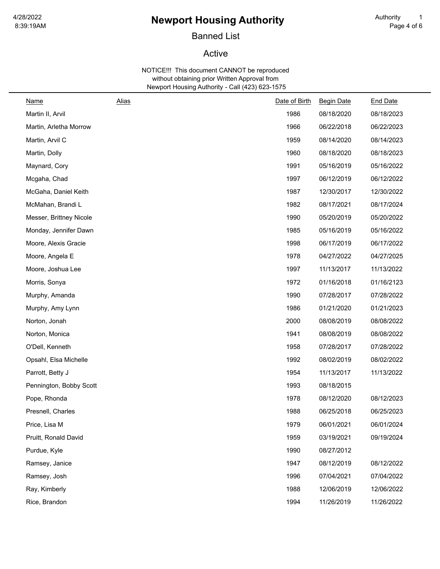# <sup>4/28/2022</sup> • **Newport Housing Authority** • Authority 1<br>8:39:19AM Page 4 of 6

# Banned List

## Active

| Name                    | <b>Alias</b> | Date of Birth | <b>Begin Date</b> | <b>End Date</b> |
|-------------------------|--------------|---------------|-------------------|-----------------|
| Martin II, Arvil        |              | 1986          | 08/18/2020        | 08/18/2023      |
| Martin, Arletha Morrow  |              | 1966          | 06/22/2018        | 06/22/2023      |
| Martin, Arvil C         |              | 1959          | 08/14/2020        | 08/14/2023      |
| Martin, Dolly           |              | 1960          | 08/18/2020        | 08/18/2023      |
| Maynard, Cory           |              | 1991          | 05/16/2019        | 05/16/2022      |
| Mcgaha, Chad            |              | 1997          | 06/12/2019        | 06/12/2022      |
| McGaha, Daniel Keith    |              | 1987          | 12/30/2017        | 12/30/2022      |
| McMahan, Brandi L       |              | 1982          | 08/17/2021        | 08/17/2024      |
| Messer, Brittney Nicole |              | 1990          | 05/20/2019        | 05/20/2022      |
| Monday, Jennifer Dawn   |              | 1985          | 05/16/2019        | 05/16/2022      |
| Moore, Alexis Gracie    |              | 1998          | 06/17/2019        | 06/17/2022      |
| Moore, Angela E         |              | 1978          | 04/27/2022        | 04/27/2025      |
| Moore, Joshua Lee       |              | 1997          | 11/13/2017        | 11/13/2022      |
| Morris, Sonya           |              | 1972          | 01/16/2018        | 01/16/2123      |
| Murphy, Amanda          |              | 1990          | 07/28/2017        | 07/28/2022      |
| Murphy, Amy Lynn        |              | 1986          | 01/21/2020        | 01/21/2023      |
| Norton, Jonah           |              | 2000          | 08/08/2019        | 08/08/2022      |
| Norton, Monica          |              | 1941          | 08/08/2019        | 08/08/2022      |
| O'Dell, Kenneth         |              | 1958          | 07/28/2017        | 07/28/2022      |
| Opsahl, Elsa Michelle   |              | 1992          | 08/02/2019        | 08/02/2022      |
| Parrott, Betty J        |              | 1954          | 11/13/2017        | 11/13/2022      |
| Pennington, Bobby Scott |              | 1993          | 08/18/2015        |                 |
| Pope, Rhonda            |              | 1978          | 08/12/2020        | 08/12/2023      |
| Presnell, Charles       |              | 1988          | 06/25/2018        | 06/25/2023      |
| Price, Lisa M           |              | 1979          | 06/01/2021        | 06/01/2024      |
| Pruitt, Ronald David    |              | 1959          | 03/19/2021        | 09/19/2024      |
| Purdue, Kyle            |              | 1990          | 08/27/2012        |                 |
| Ramsey, Janice          |              | 1947          | 08/12/2019        | 08/12/2022      |
| Ramsey, Josh            |              | 1996          | 07/04/2021        | 07/04/2022      |
| Ray, Kimberly           |              | 1988          | 12/06/2019        | 12/06/2022      |
| Rice, Brandon           |              | 1994          | 11/26/2019        | 11/26/2022      |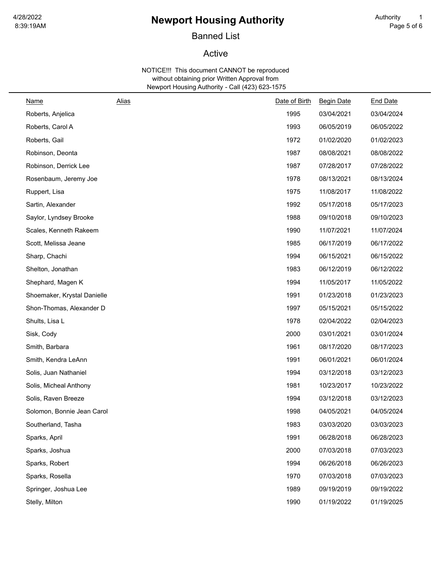# <sup>4/28/2022</sup> **1/28/2022 Newport Housing Authority 1** Authority 1<br>8:39:19AM Page 5 of 6

# Banned List

### Active

| Name                        | <b>Alias</b> | Date of Birth | <b>Begin Date</b> | <b>End Date</b> |
|-----------------------------|--------------|---------------|-------------------|-----------------|
| Roberts, Anjelica           |              | 1995          | 03/04/2021        | 03/04/2024      |
| Roberts, Carol A            |              | 1993          | 06/05/2019        | 06/05/2022      |
| Roberts, Gail               |              | 1972          | 01/02/2020        | 01/02/2023      |
| Robinson, Deonta            |              | 1987          | 08/08/2021        | 08/08/2022      |
| Robinson, Derrick Lee       |              | 1987          | 07/28/2017        | 07/28/2022      |
| Rosenbaum, Jeremy Joe       |              | 1978          | 08/13/2021        | 08/13/2024      |
| Ruppert, Lisa               |              | 1975          | 11/08/2017        | 11/08/2022      |
| Sartin, Alexander           |              | 1992          | 05/17/2018        | 05/17/2023      |
| Saylor, Lyndsey Brooke      |              | 1988          | 09/10/2018        | 09/10/2023      |
| Scales, Kenneth Rakeem      |              | 1990          | 11/07/2021        | 11/07/2024      |
| Scott, Melissa Jeane        |              | 1985          | 06/17/2019        | 06/17/2022      |
| Sharp, Chachi               |              | 1994          | 06/15/2021        | 06/15/2022      |
| Shelton, Jonathan           |              | 1983          | 06/12/2019        | 06/12/2022      |
| Shephard, Magen K           |              | 1994          | 11/05/2017        | 11/05/2022      |
| Shoemaker, Krystal Danielle |              | 1991          | 01/23/2018        | 01/23/2023      |
| Shon-Thomas, Alexander D    |              | 1997          | 05/15/2021        | 05/15/2022      |
| Shults, Lisa L              |              | 1978          | 02/04/2022        | 02/04/2023      |
| Sisk, Cody                  |              | 2000          | 03/01/2021        | 03/01/2024      |
| Smith, Barbara              |              | 1961          | 08/17/2020        | 08/17/2023      |
| Smith, Kendra LeAnn         |              | 1991          | 06/01/2021        | 06/01/2024      |
| Solis, Juan Nathaniel       |              | 1994          | 03/12/2018        | 03/12/2023      |
| Solis, Micheal Anthony      |              | 1981          | 10/23/2017        | 10/23/2022      |
| Solis, Raven Breeze         |              | 1994          | 03/12/2018        | 03/12/2023      |
| Solomon, Bonnie Jean Carol  |              | 1998          | 04/05/2021        | 04/05/2024      |
| Southerland, Tasha          |              | 1983          | 03/03/2020        | 03/03/2023      |
| Sparks, April               |              | 1991          | 06/28/2018        | 06/28/2023      |
| Sparks, Joshua              |              | 2000          | 07/03/2018        | 07/03/2023      |
| Sparks, Robert              |              | 1994          | 06/26/2018        | 06/26/2023      |
| Sparks, Rosella             |              | 1970          | 07/03/2018        | 07/03/2023      |
| Springer, Joshua Lee        |              | 1989          | 09/19/2019        | 09/19/2022      |
| Stelly, Milton              |              | 1990          | 01/19/2022        | 01/19/2025      |